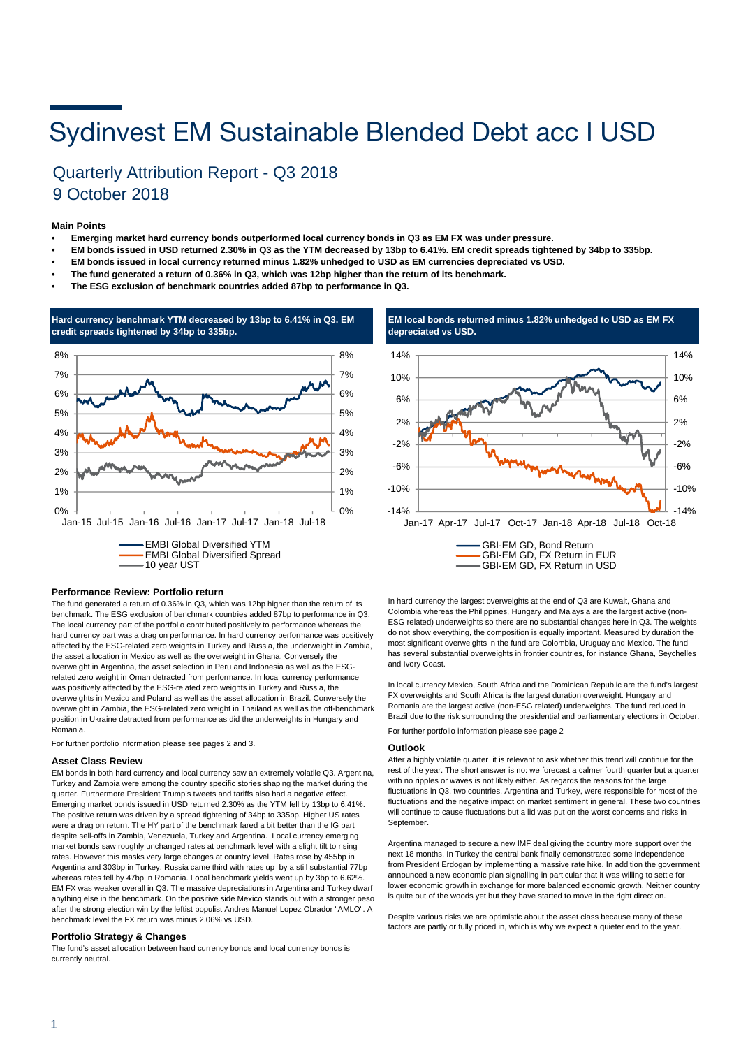# Sydinvest EM Sustainable Blended Debt acc I USD

### Quarterly Attribution Report - Q3 2018 9 October 2018

#### **Main Points**

- **Emerging market hard currency bonds outperformed local currency bonds in Q3 as EM FX was under pressure.**
- **EM bonds issued in USD returned 2.30% in Q3 as the YTM decreased by 13bp to 6.41%. EM credit spreads tightened by 34bp to 335bp.**
- **EM bonds issued in local currency returned minus 1.82% unhedged to USD as EM currencies depreciated vs USD.**
- **The fund generated a return of 0.36% in Q3, which was 12bp higher than the return of its benchmark.**
- **• The ESG exclusion of benchmark countries added 87bp to performance in Q3.**



#### **Performance Review: Portfolio return**

The fund generated a return of 0.36% in Q3, which was 12bp higher than the return of its benchmark. The ESG exclusion of benchmark countries added 87bp to performance in Q3. The local currency part of the portfolio contributed positively to performance whereas the hard currency part was a drag on performance. In hard currency performance was positively affected by the ESG-related zero weights in Turkey and Russia, the underweight in Zambia, the asset allocation in Mexico as well as the overweight in Ghana. Conversely the overweight in Argentina, the asset selection in Peru and Indonesia as well as the ESGrelated zero weight in Oman detracted from performance. In local currency performance was positively affected by the ESG-related zero weights in Turkey and Russia, the overweights in Mexico and Poland as well as the asset allocation in Brazil. Conversely the overweight in Zambia, the ESG-related zero weight in Thailand as well as the off-benchmark position in Ukraine detracted from performance as did the underweights in Hungary and Romania.

For further portfolio information please see pages 2 and 3.

#### **Asset Class Review**

EM bonds in both hard currency and local currency saw an extremely volatile Q3. Argentina, Turkey and Zambia were among the country specific stories shaping the market during the quarter. Furthermore President Trump's tweets and tariffs also had a negative effect. Emerging market bonds issued in USD returned 2.30% as the YTM fell by 13bp to 6.41%. The positive return was driven by a spread tightening of 34bp to 335bp. Higher US rates were a drag on return. The HY part of the benchmark fared a bit better than the IG part despite sell-offs in Zambia, Venezuela, Turkey and Argentina. Local currency emerging market bonds saw roughly unchanged rates at benchmark level with a slight tilt to rising rates. However this masks very large changes at country level. Rates rose by 455bp in Argentina and 303bp in Turkey. Russia came third with rates up by a still substantial 77bp whereas rates fell by 47bp in Romania. Local benchmark yields went up by 3bp to 6.62%. EM FX was weaker overall in Q3. The massive depreciations in Argentina and Turkey dwarf anything else in the benchmark. On the positive side Mexico stands out with a stronger peso after the strong election win by the leftist populist Andres Manuel Lopez Obrador "AMLO". At benchmark level the FX return was minus 2.06% vs USD.

#### **Portfolio Strategy & Changes**

The fund's asset allocation between hard currency bonds and local currency bonds is currently neutral.





In hard currency the largest overweights at the end of Q3 are Kuwait, Ghana and Colombia whereas the Philippines, Hungary and Malaysia are the largest active (non-ESG related) underweights so there are no substantial changes here in Q3. The weights do not show everything, the composition is equally important. Measured by duration the most significant overweights in the fund are Colombia, Uruguay and Mexico. The fund has several substantial overweights in frontier countries, for instance Ghana, Seychelles and Ivory Coast.

In local currency Mexico, South Africa and the Dominican Republic are the fund's largest FX overweights and South Africa is the largest duration overweight. Hungary and Romania are the largest active (non-ESG related) underweights. The fund reduced in Brazil due to the risk surrounding the presidential and parliamentary elections in October. For further portfolio information please see page 2

#### **Outlook**

After a highly volatile quarter it is relevant to ask whether this trend will continue for the rest of the year. The short answer is no: we forecast a calmer fourth quarter but a quarter with no ripples or waves is not likely either. As regards the reasons for the large fluctuations in Q3, two countries, Argentina and Turkey, were responsible for most of the fluctuations and the negative impact on market sentiment in general. These two countries will continue to cause fluctuations but a lid was put on the worst concerns and risks in September.

Argentina managed to secure a new IMF deal giving the country more support over the next 18 months. In Turkey the central bank finally demonstrated some independence from President Erdogan by implementing a massive rate hike. In addition the government announced a new economic plan signalling in particular that it was willing to settle for lower economic growth in exchange for more balanced economic growth. Neither country is quite out of the woods yet but they have started to move in the right direction.

Despite various risks we are optimistic about the asset class because many of these factors are partly or fully priced in, which is why we expect a quieter end to the year.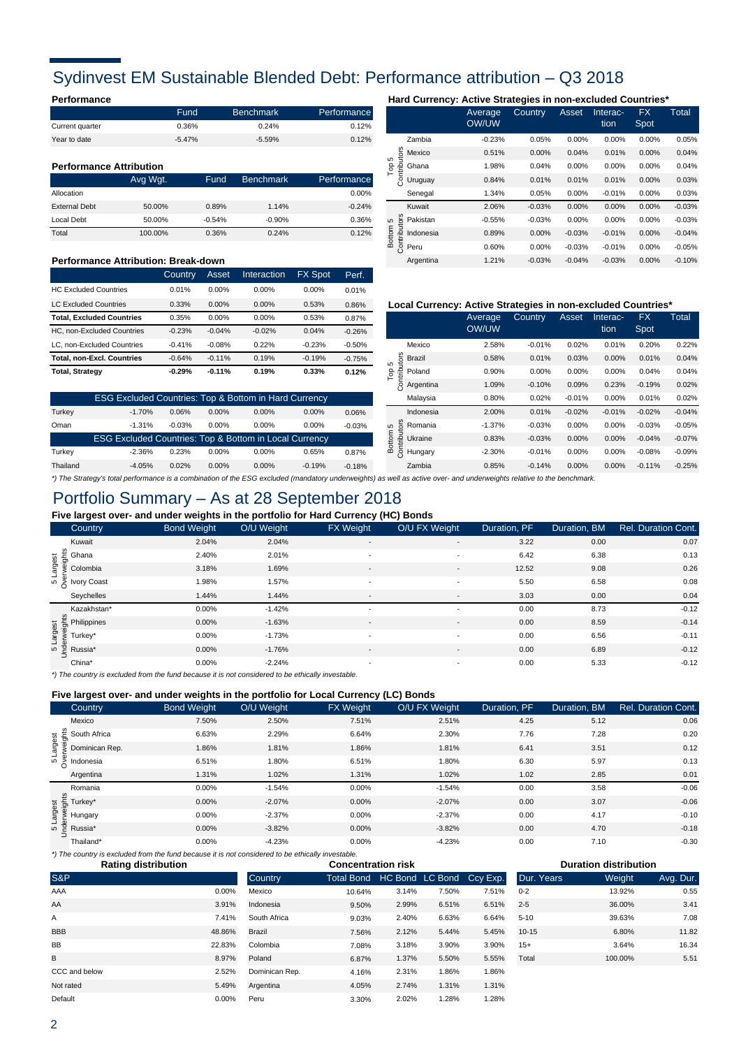### Sydinvest EM Sustainable Blended Debt: Performance attribution – Q3 2018

|                 | Fund     | <b>Benchmark</b> | Performance |
|-----------------|----------|------------------|-------------|
| Current quarter | 0.36%    | 0.24%            | 0.12%       |
| Year to date    | $-5.47%$ | $-5.59%$         | 0.12%       |

#### **Performance Attribution**

|                      | Avg Wgt. | Fund     | <b>Benchmark</b> | Performance |
|----------------------|----------|----------|------------------|-------------|
| Allocation           |          |          |                  | 0.00%       |
| <b>External Debt</b> | 50.00%   | 0.89%    | 1.14%            | $-0.24%$    |
| Local Debt           | 50.00%   | $-0.54%$ | $-0.90%$         | 0.36%       |
| Total                | 100.00%  | 0.36%    | 0.24%            | 0.12%       |

#### **Performance Attribution: Break-down**

|                                   | Country  | Asset    | Interaction | <b>FX Spot</b> | Perf.    |
|-----------------------------------|----------|----------|-------------|----------------|----------|
| <b>HC Excluded Countries</b>      | 0.01%    | $0.00\%$ | $0.00\%$    | $0.00\%$       | 0.01%    |
| <b>LC Excluded Countries</b>      | 0.33%    | $0.00\%$ | $0.00\%$    | 0.53%          | 0.86%    |
| <b>Total. Excluded Countries</b>  | 0.35%    | 0.00%    | $0.00\%$    | 0.53%          | 0.87%    |
| HC. non-Excluded Countries        | $-0.23%$ | $-0.04%$ | $-0.02%$    | 0.04%          | $-0.26%$ |
| LC. non-Excluded Countries        | $-0.41%$ | $-0.08%$ | 0.22%       | $-0.23%$       | $-0.50%$ |
| <b>Total, non-Excl. Countries</b> | $-0.64%$ | $-0.11%$ | 0.19%       | $-0.19%$       | $-0.75%$ |
| <b>Total, Strategy</b>            | $-0.29%$ | $-0.11%$ | 0.19%       | 0.33%          | 0.12%    |

| $-1.70%$ | 0.06%    | $0.00\%$ | $0.00\%$ | $0.00\%$ | 0.06%                                                                                                                                 |
|----------|----------|----------|----------|----------|---------------------------------------------------------------------------------------------------------------------------------------|
| $-1.31%$ | $-0.03%$ | $0.00\%$ | $0.00\%$ | $0.00\%$ | $-0.03%$                                                                                                                              |
|          |          |          |          |          |                                                                                                                                       |
| $-2.36%$ | 0.23%    | $0.00\%$ | $0.00\%$ | 0.65%    | 0.87%                                                                                                                                 |
| $-4.05%$ | 0.02%    | $0.00\%$ | $0.00\%$ | $-0.19%$ | $-0.18%$                                                                                                                              |
|          |          |          |          |          | <b>ESG Excluded Countries: Top &amp; Bottom in Hard Currency</b><br><b>ESG Excluded Countries: Top &amp; Bottom in Local Currency</b> |

### **Performance Hard Currency: Active Strategies in non-excluded Countries\***

|        |                           | Average<br>OW/UW | Country  | Asset    | Interac-<br>tion | <b>FX</b><br>Spot | Total    |
|--------|---------------------------|------------------|----------|----------|------------------|-------------------|----------|
|        | Zambia                    | $-0.23%$         | 0.05%    | 0.00%    | 0.00%            | 0.00%             | 0.05%    |
| ю      | Mexico                    | 0.51%            | 0.00%    | 0.04%    | 0.01%            | 0.00%             | 0.04%    |
| Τoρ    | Contributors<br>Ghana     | 1.98%            | 0.04%    | 0.00%    | 0.00%            | 0.00%             | 0.04%    |
|        | Uruguay                   | 0.84%            | 0.01%    | 0.01%    | 0.01%            | 0.00%             | 0.03%    |
|        | Senegal                   | 1.34%            | 0.05%    | 0.00%    | $-0.01%$         | 0.00%             | 0.03%    |
|        | Kuwait                    | 2.06%            | $-0.03%$ | 0.00%    | 0.00%            | 0.00%             | $-0.03%$ |
| 5      | Pakistan                  | $-0.55%$         | $-0.03%$ | 0.00%    | 0.00%            | 0.00%             | $-0.03%$ |
| Bottom | Contributors<br>Indonesia | 0.89%            | 0.00%    | $-0.03%$ | $-0.01%$         | 0.00%             | $-0.04%$ |
|        | Peru                      | 0.60%            | 0.00%    | $-0.03%$ | $-0.01%$         | 0.00%             | $-0.05%$ |
|        | Argentina                 | 1.21%            | $-0.03%$ | $-0.04%$ | $-0.03%$         | 0.00%             | $-0.10%$ |

#### 0.86% **Local Currency: Active Strategies in non-excluded Countries\***

|                            |                                                                                       | Average<br>OW/UW | Country  | Asset    | Interac-<br>tion | <b>FX</b><br>Spot | <b>Total</b> |
|----------------------------|---------------------------------------------------------------------------------------|------------------|----------|----------|------------------|-------------------|--------------|
|                            | Mexico                                                                                | 2.58%            | $-0.01%$ | 0.02%    | 0.01%            | 0.20%             | 0.22%        |
| ã<br>ś<br>5                | <b>Brazil</b>                                                                         | 0.58%            | 0.01%    | 0.03%    | $0.00\%$         | 0.01%             | 0.04%        |
| Contribi<br>$\overline{P}$ | Poland                                                                                | 0.90%            | $0.00\%$ | $0.00\%$ | 0.00%            | 0.04%             | 0.04%        |
|                            | Argentina                                                                             | 1.09%            | $-0.10%$ | 0.09%    | 0.23%            | $-0.19%$          | 0.02%        |
|                            | Malaysia                                                                              | 0.80%            | 0.02%    | $-0.01%$ | $0.00\%$         | 0.01%             | 0.02%        |
|                            | Indonesia                                                                             | 2.00%            | 0.01%    | $-0.02%$ | $-0.01%$         | $-0.02%$          | $-0.04%$     |
| 5                          | Romania                                                                               | $-1.37%$         | $-0.03%$ | 0.00%    | $0.00\%$         | $-0.03%$          | $-0.05%$     |
| Contributors<br>Bottom     | Ukraine                                                                               | 0.83%            | $-0.03%$ | 0.00%    | $0.00\%$         | $-0.04%$          | $-0.07%$     |
|                            | Hungary                                                                               | $-2.30%$         | $-0.01%$ | 0.00%    | 0.00%            | $-0.08%$          | $-0.09%$     |
|                            | Zambia                                                                                | 0.85%            | $-0.14%$ | 0.00%    | $0.00\%$         | $-0.11%$          | $-0.25%$     |
|                            | واستحصوا مصطرما وحافره فالمتاريخ وعاملوني ويسترام والمسترين ومرزم ورزانهم مروم المرزر |                  |          |          |                  |                   |              |

### *\*) The Strategy's total performance is a combination of the ESG excluded (mandatory underweights) as well as active over- and underweights relative to the benchmark.*

### Portfolio Summary – As at 28 September 2018

**Five largest over- and under weights in the portfolio for Hard Currency (HC) Bonds**

| <b>Country</b>                                                                                | <b>Bond Weight</b> | O/U Weight | <b>FX Weight</b>         | O/U FX Weight            | Duration, PF | Duration, BM | <b>Rel. Duration Cont.</b> |
|-----------------------------------------------------------------------------------------------|--------------------|------------|--------------------------|--------------------------|--------------|--------------|----------------------------|
| Kuwait                                                                                        | 2.04%              | 2.04%      | $\overline{\phantom{a}}$ | $\overline{\phantom{a}}$ | 3.22         | 0.00         | 0.07                       |
|                                                                                               | 2.40%              | 2.01%      | $\overline{\phantom{a}}$ |                          | 6.42         | 6.38         | 0.13                       |
| to the Ghana<br>The Scolombia<br>The Scolombia<br>The Score Scott<br>Score Scott<br>The Scott | 3.18%              | 1.69%      | -                        | $\overline{\phantom{a}}$ | 12.52        | 9.08         | 0.26                       |
|                                                                                               | 1.98%              | 1.57%      | $\overline{\phantom{a}}$ | $\sim$                   | 5.50         | 6.58         | 0.08                       |
| Seychelles                                                                                    | 1.44%              | 1.44%      | $\overline{\phantom{a}}$ | $\overline{\phantom{0}}$ | 3.03         | 0.00         | 0.04                       |
| Kazakhstan*                                                                                   | 0.00%              | $-1.42%$   | $\overline{\phantom{a}}$ | $\overline{\phantom{a}}$ | 0.00         | 8.73         | $-0.12$                    |
| ts 45<br>de Philippines<br>de Purkey*<br>so Purssia*<br>co Purssia*                           | 0.00%              | $-1.63%$   | $\overline{\phantom{a}}$ | $\overline{\phantom{a}}$ | 0.00         | 8.59         | $-0.14$                    |
|                                                                                               | 0.00%              | $-1.73%$   | $\sim$                   | $\sim$                   | 0.00         | 6.56         | $-0.11$                    |
| $\frac{1}{5}$ Russia*                                                                         | $0.00\%$           | $-1.76%$   | $\overline{\phantom{a}}$ | $\overline{\phantom{0}}$ | 0.00         | 6.89         | $-0.12$                    |
| China*                                                                                        | 0.00%              | $-2.24%$   | $\sim$                   | $\overline{\phantom{0}}$ | 0.00         | 5.33         | $-0.12$                    |

*\*) The country is excluded from the fund because it is not considered to be ethically investable.*

#### **Five largest over- and under weights in the portfolio for Local Currency (LC) Bonds**

|                                                                                        |                    |            | . .              |               |              |              |                     |
|----------------------------------------------------------------------------------------|--------------------|------------|------------------|---------------|--------------|--------------|---------------------|
| <b>Country</b>                                                                         | <b>Bond Weight</b> | O/U Weight | <b>FX</b> Weight | O/U FX Weight | Duration, PF | Duration, BM | Rel. Duration Cont. |
| Mexico                                                                                 | 7.50%              | 2.50%      | 7.51%            | 2.51%         | 4.25         | 5.12         | 0.06                |
|                                                                                        | 6.63%              | 2.29%      | 6.64%            | 2.30%         | 7.76         | 7.28         | 0.20                |
| Dominican Rep.                                                                         | 1.86%              | 1.81%      | 1.86%            | 1.81%         | 6.41         | 3.51         | 0.12                |
| $\frac{25}{90}$ South Africa<br>$\frac{25}{90}$ Dominican R<br>$\frac{25}{90}$ Momesia | 6.51%              | 1.80%      | 6.51%            | 1.80%         | 6.30         | 5.97         | 0.13                |
| Argentina                                                                              | 1.31%              | 1.02%      | 1.31%            | 1.02%         | 1.02         | 2.85         | 0.01                |
| Romania                                                                                | 0.00%              | $-1.54%$   | 0.00%            | $-1.54%$      | 0.00         | 3.58         | $-0.06$             |
| $\frac{3}{5}$ $\frac{1}{5}$ Turkey*                                                    | 0.00%              | $-2.07%$   | 0.00%            | $-2.07%$      | 0.00         | 3.07         | $-0.06$             |
|                                                                                        | 0.00%              | $-2.37%$   | 0.00%            | $-2.37%$      | 0.00         | 4.17         | $-0.10$             |
| <b>in E</b> Russia*                                                                    | 0.00%              | $-3.82%$   | 0.00%            | $-3.82%$      | 0.00         | 4.70         | $-0.18$             |
| Thailand*                                                                              | 0.00%              | $-4.23%$   | 0.00%            | $-4.23%$      | 0.00         | 7.10         | $-0.30$             |

*\*) The country is excluded from the fund because it is not considered to be ethically investable.* S&P Country Total Bond HC Bond LC Bond Country Country Total Bond HC Bond LC Bond 10.64% 9.50% 9.03% 7.56% 7.08% 6.87% 4.16% 4.05% 3.30% **BBB** A 48.86% 0.00% Default Colombia 0.00% Peru 2.02% 1.28% 1.28% 1.31% 1.31% 1.31% 1.31% 1.31% 1.31% 5.49% Argentina 2.74% 1.31% 1.31% CCC and below 2.52% Dominican Rep. 2.31% 1.86% 1.86% 3.18% 3.90% 3.90% 15+ 3.64% 16.34 B 8.97% Poland 1.37% 5.50% 5.55% Total 100.00% 5.51 BB 22.83% Brazil 2.12% 5.44% 5.45% 3.41 7.41% South Africa 2.40% 6.63% 6.64% 5-10 39.63% 7.08 10-15 6.80% 11.82 Mexico 3.14% 7.50% 7.51% 0-2 13.92% 0.55 AA 3.91% Indonesia 2.99% 6.51% 6.51% 2-5 36.00% AAA Rating distribution **Concentration risk** Concentration risk **Duration distribution** Ccy Exp. Dur. Years Weight Avg. Dur.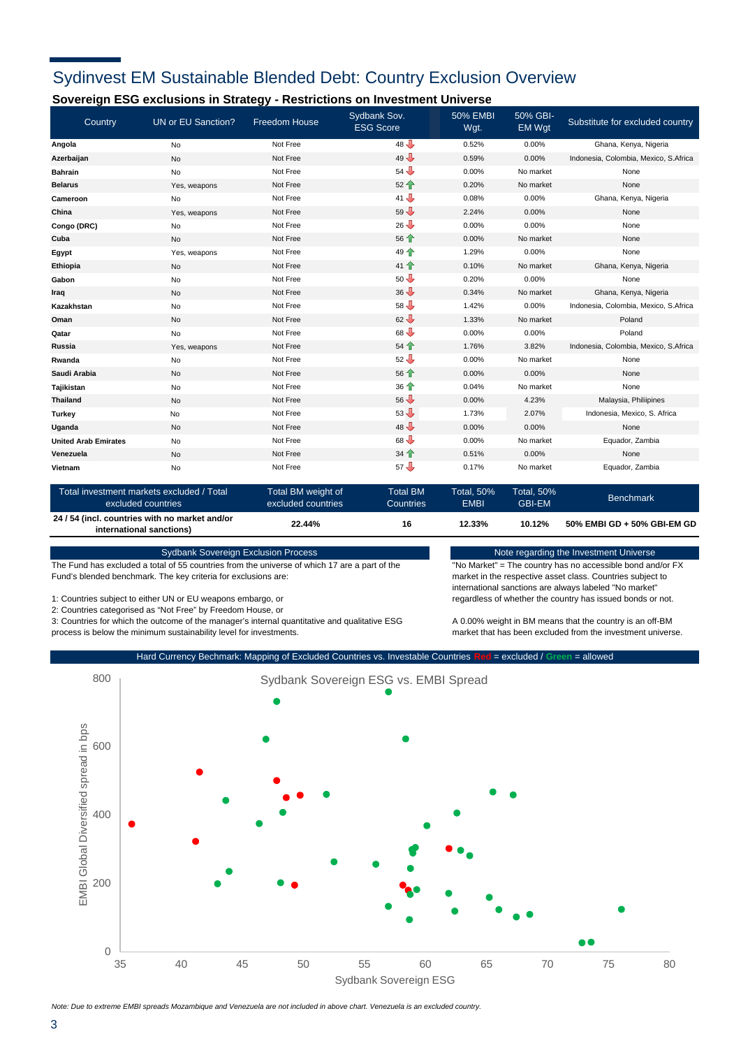## Sydinvest EM Sustainable Blended Debt: Country Exclusion Overview

### **Sovereign ESG exclusions in Strategy - Restrictions on Investment Universe**

| Country                     | UN or EU Sanction?                                              | <b>Freedom House</b>                     | Sydbank Sov.<br><b>ESG Score</b>                           | <b>50% EMBI</b><br>Wgt.          | 50% GBI-<br><b>EM Wat</b>          | Substitute for excluded country       |
|-----------------------------|-----------------------------------------------------------------|------------------------------------------|------------------------------------------------------------|----------------------------------|------------------------------------|---------------------------------------|
| Angola                      | No                                                              | Not Free                                 | $48 \nightharpoonup$                                       | 0.52%                            | 0.00%                              | Ghana, Kenya, Nigeria                 |
| Azerbaijan                  | No                                                              | Not Free                                 | $49 -$                                                     | 0.59%                            | 0.00%                              | Indonesia, Colombia, Mexico, S.Africa |
| <b>Bahrain</b>              | No                                                              | Not Free                                 | $54 \n\text{J}$                                            | 0.00%                            | No market                          | None                                  |
| <b>Belarus</b>              | Yes, weapons                                                    | Not Free                                 | $52 +$                                                     | 0.20%                            | No market                          | None                                  |
| <b>Cameroon</b>             | No                                                              | Not Free                                 | $41 \nightharpoonup$                                       | 0.08%                            | 0.00%                              | Ghana, Kenya, Nigeria                 |
| China                       | Yes, weapons                                                    | Not Free                                 | $59 -$                                                     | 2.24%                            | 0.00%                              | None                                  |
| Congo (DRC)                 | No                                                              | Not Free                                 | $26 \n\text{J}$                                            | 0.00%                            | 0.00%                              | None                                  |
| Cuba                        | No                                                              | Not Free                                 | 56 个                                                       | 0.00%                            | No market                          | None                                  |
| Egypt                       | Yes, weapons                                                    | Not Free                                 | 49 <sup>4</sup>                                            | 1.29%                            | 0.00%                              | None                                  |
| Ethiopia                    | No                                                              | Not Free                                 | 41 个                                                       | 0.10%                            | No market                          | Ghana, Kenya, Nigeria                 |
| Gabon                       | No                                                              | Not Free                                 | $50 -$                                                     | 0.20%                            | 0.00%                              | None                                  |
| Iraq                        | No                                                              | Not Free                                 | $36 \n\begin{array}{ccc}\n\bullet \\ \bullet\n\end{array}$ | 0.34%                            | No market                          | Ghana, Kenya, Nigeria                 |
| Kazakhstan                  | No                                                              | Not Free                                 | $58 \nightharpoonup$                                       | 1.42%                            | 0.00%                              | Indonesia, Colombia, Mexico, S.Africa |
| Oman                        | No                                                              | Not Free                                 | $62 -$                                                     | 1.33%                            | No market                          | Poland                                |
| Qatar                       | No                                                              | Not Free                                 | $68 \n\text{J}$                                            | 0.00%                            | 0.00%                              | Poland                                |
| Russia                      | Yes, weapons                                                    | Not Free                                 | $54$ <sup></sup>                                           | 1.76%                            | 3.82%                              | Indonesia, Colombia, Mexico, S.Africa |
| Rwanda                      | No                                                              | Not Free                                 | $52 \n\text{J}$                                            | 0.00%                            | No market                          | None                                  |
| Saudi Arabia                | <b>No</b>                                                       | Not Free                                 | 56                                                         | 0.00%                            | 0.00%                              | None                                  |
| Tajikistan                  | No                                                              | Not Free                                 | 36 <sup>4</sup>                                            | 0.04%                            | No market                          | None                                  |
| <b>Thailand</b>             | No                                                              | Not Free                                 | $56 \bigtriangledown$                                      | 0.00%                            | 4.23%                              | Malaysia, Philiipines                 |
| <b>Turkey</b>               | No                                                              | Not Free                                 | $53 -$                                                     | 1.73%                            | 2.07%                              | Indonesia, Mexico, S. Africa          |
| Uganda                      | No                                                              | Not Free                                 | $48 \nightharpoonup$                                       | 0.00%                            | 0.00%                              | None                                  |
| <b>United Arab Emirates</b> | No                                                              | Not Free                                 | $68 -$                                                     | 0.00%                            | No market                          | Equador, Zambia                       |
| Venezuela                   | No                                                              | Not Free                                 | 34 <sup>4</sup>                                            | 0.51%                            | 0.00%                              | None                                  |
| Vietnam                     | No                                                              | Not Free                                 | $57 \nightharpoonup$                                       | 0.17%                            | No market                          | Equador, Zambia                       |
|                             | Total investment markets excluded / Total<br>excluded countries | Total BM weight of<br>excluded countries | <b>Total BM</b><br>Countries                               | <b>Total, 50%</b><br><b>EMBI</b> | <b>Total, 50%</b><br><b>GBI-EM</b> | <b>Benchmark</b>                      |

**10.12% 22.44% 12.33% 16 50% EMBI GD + 50% GBI-EM GD 24 / 54 (incl. countries with no market and/or international sanctions)**

Sydbank Sovereign Exclusion Process

The Fund has excluded a total of 55 countries from the universe of which 17 are a part of the Fund's blended benchmark. The key criteria for exclusions are:

1: Countries subject to either UN or EU weapons embargo, or

2: Countries categorised as "Not Free" by Freedom House, or

3: Countries for which the outcome of the manager's internal quantitative and qualitative ESG process is below the minimum sustainability level for investments.

Note regarding the Investment Universe

"No Market" = The country has no accessible bond and/or FX market in the respective asset class. Countries subject to international sanctions are always labeled "No market" regardless of whether the country has issued bonds or not.

A 0.00% weight in BM means that the country is an off-BM market that has been excluded from the investment universe.



*Note: Due to extreme EMBI spreads Mozambique and Venezuela are not included in above chart. Venezuela is an excluded country.*